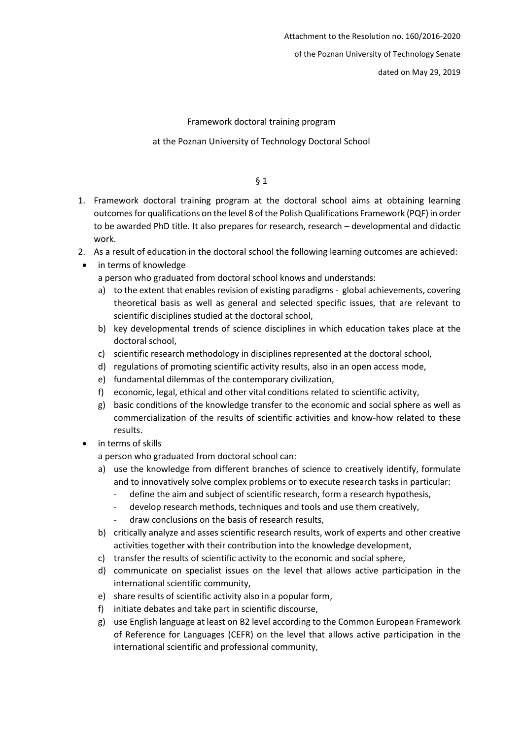of the Poznan University of Technology Senate

dated on May 29, 2019

Framework doctoral training program

at the Poznan University of Technology Doctoral School

§ 1

- 1. Framework doctoral training program at the doctoral school aims at obtaining learning outcomes for qualifications on the level 8 of the Polish Qualifications Framework (PQF) in order to be awarded PhD title. It also prepares for research, research – developmental and didactic work.
- 2. As a result of education in the doctoral school the following learning outcomes are achieved:
- in terms of knowledge

a person who graduated from doctoral school knows and understands:

- a) to the extent that enables revision of existing paradigms global achievements, covering theoretical basis as well as general and selected specific issues, that are relevant to scientific disciplines studied at the doctoral school,
- b) key developmental trends of science disciplines in which education takes place at the doctoral school,
- c) scientific research methodology in disciplines represented at the doctoral school,
- d) regulations of promoting scientific activity results, also in an open access mode,
- e) fundamental dilemmas of the contemporary civilization,
- f) economic, legal, ethical and other vital conditions related to scientific activity,
- g) basic conditions of the knowledge transfer to the economic and social sphere as well as commercialization of the results of scientific activities and know-how related to these results.
- in terms of skills

a person who graduated from doctoral school can:

- a) use the knowledge from different branches of science to creatively identify, formulate and to innovatively solve complex problems or to execute research tasks in particular:
	- define the aim and subject of scientific research, form a research hypothesis,
	- develop research methods, techniques and tools and use them creatively,
	- draw conclusions on the basis of research results,
- b) critically analyze and asses scientific research results, work of experts and other creative activities together with their contribution into the knowledge development,
- c) transfer the results of scientific activity to the economic and social sphere,
- d) communicate on specialist issues on the level that allows active participation in the international scientific community,
- e) share results of scientific activity also in a popular form,
- f) initiate debates and take part in scientific discourse,
- g) use English language at least on B2 level according to the Common European Framework of Reference for Languages (CEFR) on the level that allows active participation in the international scientific and professional community,